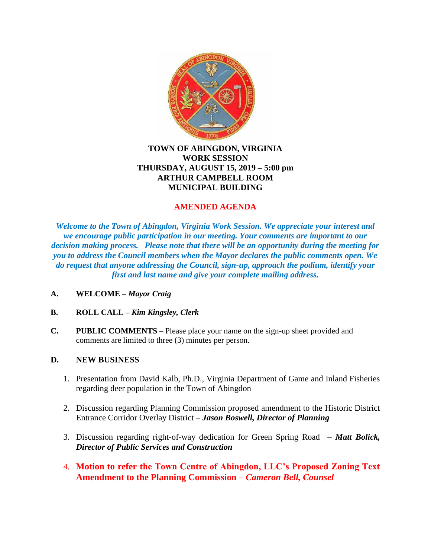

# **TOWN OF ABINGDON, VIRGINIA WORK SESSION THURSDAY, AUGUST 15, 2019 – 5:00 pm ARTHUR CAMPBELL ROOM MUNICIPAL BUILDING**

# **AMENDED AGENDA**

*Welcome to the Town of Abingdon, Virginia Work Session. We appreciate your interest and we encourage public participation in our meeting. Your comments are important to our decision making process. Please note that there will be an opportunity during the meeting for you to address the Council members when the Mayor declares the public comments open. We do request that anyone addressing the Council, sign-up, approach the podium, identify your first and last name and give your complete mailing address.*

- **A. WELCOME –** *Mayor Craig*
- **B. ROLL CALL –** *Kim Kingsley, Clerk*
- **C. PUBLIC COMMENTS –** Please place your name on the sign-up sheet provided and comments are limited to three (3) minutes per person.

# **D. NEW BUSINESS**

- 1. Presentation from David Kalb, Ph.D., Virginia Department of Game and Inland Fisheries regarding deer population in the Town of Abingdon
- 2. Discussion regarding Planning Commission proposed amendment to the Historic District Entrance Corridor Overlay District – *Jason Boswell, Director of Planning*
- 3. Discussion regarding right-of-way dedication for Green Spring Road *Matt Bolick, Director of Public Services and Construction*
- 4. **Motion to refer the Town Centre of Abingdon, LLC's Proposed Zoning Text Amendment to the Planning Commission –** *Cameron Bell, Counsel*